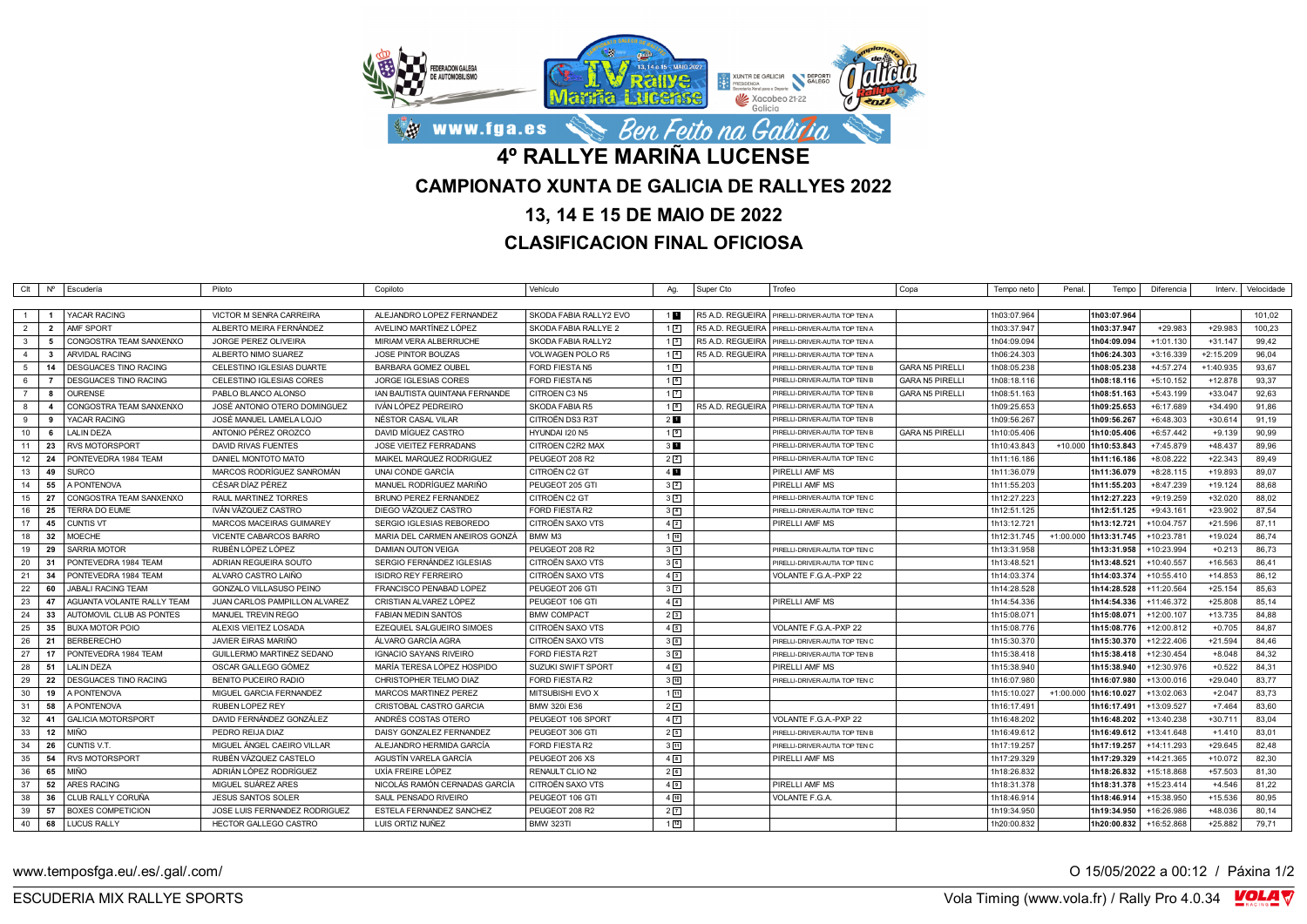

## **13, 14 E 15 DE MAIO DE 2022**

## **CLASIFICACION FINAL OFICIOSA**

|                |                | CIt   Nº   Escudería              | Piloto                           | Copiloto                       | Vehículo               | Ag.               | Super Cto        | Trofeo                                            | Copa                   | Tempo neto  | Penal. | Tempo                 | Diferencia   |             | Interv.   Velocidade |
|----------------|----------------|-----------------------------------|----------------------------------|--------------------------------|------------------------|-------------------|------------------|---------------------------------------------------|------------------------|-------------|--------|-----------------------|--------------|-------------|----------------------|
|                |                |                                   |                                  |                                |                        |                   |                  |                                                   |                        |             |        |                       |              |             |                      |
| $\overline{1}$ |                | YACAR RACING                      | VICTOR M SENRA CARREIRA          | ALEJANDRO LOPEZ FERNANDEZ      | SKODA FABIA RALLY2 EVO | 1 <sub>1</sub>    |                  | R5 A.D. REGUEIRA   PIRELLI-DRIVER-AUTIA TOP TEN A |                        | 1h03:07.964 |        | 1h03:07.964           |              |             | 101,02               |
| $\overline{2}$ | $\overline{2}$ | AMF SPORT                         | ALBERTO MEIRA FERNÁNDEZ          | AVELINO MARTÍNEZ LÓPEZ         | SKODA FABIA RALLYE 2   | $1 \vert 2 \vert$ |                  | R5 A.D. REGUEIRA   PIRELLI-DRIVER-AUTIA TOP TEN A |                        | 1h03:37.947 |        | 1h03:37.947           | $+29.983$    | $+29.983$   | 100,23               |
| $\mathbf{3}$   | 5              | CONGOSTRA TEAM SANXENXO           | <b>JORGE PEREZ OLIVEIRA</b>      | MIRIAM VERA ALBERRUCHE         | SKODA FABIA RALLY2     | 13                |                  | R5 A.D. REGUEIRA   PIRELLI-DRIVER-AUTIA TOP TEN A |                        | 1h04:09.094 |        | 1h04:09.094           | $+1:01.130$  | $+31.147$   | 99,42                |
| $\overline{4}$ | $\mathbf{3}$   | <b>ARVIDAL RACING</b>             | ALBERTO NIMO SUAREZ              | <b>JOSE PINTOR BOUZAS</b>      | VOLWAGEN POLO R5       | $1\vert 4$        | R5 A.D. REGUEIRA | PIRELLI-DRIVER-AUTIA TOP TEN A                    |                        | 1h06:24.303 |        | 1h06:24.303           | $+3:16.339$  | $+2:15.209$ | 96,04                |
| 5              |                | 14   DESGUACES TINO RACING        | CELESTINO IGLESIAS DUARTE        | <b>BARBARA GOMEZ OUBEL</b>     | FORD FIESTA N5         | 15                |                  | PIRELLI-DRIVER-AUTIA TOP TEN B                    | <b>GARA N5 PIRELLI</b> | 1h08:05.238 |        | 1h08:05.238           | +4:57.274    | $+1:40.935$ | 93,67                |
| - 6            | $\overline{7}$ | <b>DESGUACES TINO RACING</b>      | CELESTINO IGLESIAS CORES         | JORGE IGLESIAS CORES           | FORD FIESTA N5         | 16                |                  | PIRELLI-DRIVER-AUTIA TOP TEN E                    | <b>GARA N5 PIRELLI</b> | 1h08:18.116 |        | 1h08:18.116           | $+5:10.152$  | $+12.878$   | 93,37                |
| $\overline{7}$ | $\mathbf{a}$   | <b>OURENSE</b>                    | PABLO BLANCO ALONSO              | IAN BAUTISTA QUINTANA FERNANDE | CITROEN C3 N5          | $1\sqrt{7}$       |                  | PIRELLI-DRIVER-AUTIA TOP TEN B                    | <b>GARA N5 PIRELLI</b> | 1h08:51.163 |        | 1h08:51.163           | $+5:43.199$  | $+33.047$   | 92.63                |
| 8              | $\mathbf{A}$   | CONGOSTRA TEAM SANXENXO           | JOSÉ ANTONIO OTERO DOMINGUEZ     | IVÁN LÓPEZ PEDREIRO            | SKODA FABIA R5         | 1 <sup>8</sup>    |                  | R5 A.D. REGUEIRA   PIRELLI-DRIVER-AUTIA TOP TEN A |                        | 1h09:25.653 |        | 1h09:25.653           | +6:17.689    | $+34.490$   | 91,86                |
| 9              | -9             | YACAR RACING                      | JOSÉ MANUEL LAMELA LOJO          | NÉSTOR CASAL VILAR             | CITROËN DS3 R3T        | 2 <sub>1</sub>    |                  | PIRELLI-DRIVER-AUTIA TOP TEN B                    |                        | 1h09:56.267 |        | 1h09:56.267           | +6:48.303    | $+30.614$   | 91,19                |
| 10             | - 6            | <b>LALIN DEZA</b>                 | ANTONIO PÉREZ OROZCO             | DAVID MÍGUEZ CASTRO            | HYUNDAI I20 N5         | 19                |                  | PIRELLI-DRIVER-AUTIA TOP TEN E                    | <b>GARA N5 PIRELLI</b> | 1h10:05.406 |        | 1h10:05.406           | $+6:57.442$  | $+9.139$    | 90,99                |
| 11             |                | 23 RVS MOTORSPORT                 | DAVID RIVAS FUENTES              | JOSE VIEITEZ FERRADANS         | CITROEN C2R2 MAX       | $3 \blacksquare$  |                  | PIRELLI-DRIVER-AUTIA TOP TEN C                    |                        | 1h10:43.843 |        | +10.000 1h10:53.843   | $+7:45.879$  | $+48.437$   | 89.96                |
| 12             | 24             | PONTEVEDRA 1984 TEAM              | DANIEL MONTOTO MATO              | MAIKEL MARQUEZ RODRIGUEZ       | PEUGEOT 208 R2         | $2\sqrt{2}$       |                  | PIRELLI-DRIVER-AUTIA TOP TEN C                    |                        | 1h11:16.186 |        | 1h11:16.186           | +8:08.222    | $+22.343$   | 89,49                |
| 13             | 49             | <b>SURCO</b>                      | MARCOS RODRÍGUEZ SANROMÁN        | UNAI CONDE GARCIA              | CITROËN C2 GT          | $4$ M             |                  | PIRELLI AMF MS                                    |                        | 1h11:36.079 |        | 1h11:36.079           | $+8:28.115$  | $+19.893$   | 89,07                |
| 14             | 55             | A PONTENOVA                       | CÉSAR DÍAZ PÉREZ                 | MANUEL RODRÍGUEZ MARIÑO        | PEUGEOT 205 GTI        | 3 <sup>2</sup>    |                  | PIRELLI AMF MS                                    |                        | 1h11:55.203 |        | 1h11:55.203           | $+8:47.239$  | $+19.124$   | 88,68                |
| 15             | - 27           | CONGOSTRA TEAM SANXENXO           | <b>RAUL MARTINEZ TORRES</b>      | <b>BRUNO PEREZ FERNANDEZ</b>   | CITROËN C2 GT          | 3 <sup>3</sup>    |                  | PIRELLI-DRIVER-AUTIA TOP TEN C                    |                        | 1h12:27.223 |        | 1h12:27.223           | $+9:19.259$  | $+32.020$   | 88.02                |
| 16             | 25             | TERRA DO EUME                     | IVÁN VÁZQUEZ CASTRO              | DIEGO VÁZQUEZ CASTRO           | FORD FIESTA R2         | $3\sqrt{4}$       |                  | PIRELLI-DRIVER-AUTIA TOP TEN C                    |                        | 1h12:51.125 |        | 1h12:51.125           | $+9:43.161$  | $+23.902$   | 87,54                |
| 17             | 45             | <b>CUNTIS VT</b>                  | MARCOS MACEIRAS GUIMAREY         | SERGIO IGLESIAS REBOREDO       | CITROËN SAXO VTS       | $4\sqrt{2}$       |                  | PIRELLI AMF MS                                    |                        | 1h13:12.721 |        | 1h13:12.721           | +10:04.757   | $+21.596$   | 87,11                |
| 18             | 32             | <b>MOECHE</b>                     | VICENTE CABARCOS BARRO           | MARIA DEL CARMEN ANEIROS GONZÁ | BMW M3                 | 110               |                  |                                                   |                        | 1h12:31.745 |        | +1:00.000 1h13:31.745 | +10:23.781   | $+19.024$   | 86,74                |
| 19             | 29             | <b>SARRIA MOTOR</b>               | RUBÉN LÓPEZ LÓPEZ                | <b>DAMIAN OUTON VEIGA</b>      | PEUGEOT 208 R2         | 35                |                  | PIRELLI-DRIVER-AUTIA TOP TEN C                    |                        | 1h13:31.958 |        | 1h13:31.958           | +10:23.994   | $+0.213$    | 86,73                |
| 20             | -31            | PONTEVEDRA 1984 TEAM              | ADRIAN REGUEIRA SOUTO            | SERGIO FERNÁNDEZ IGLESIAS      | CITROËN SAXO VTS       | 36                |                  | PIRELLI-DRIVER-AUTIA TOP TEN C                    |                        | 1h13:48.521 |        | 1h13:48.521           | +10:40.557   | $+16.563$   | 86,41                |
| 21             | 34             | PONTEVEDRA 1984 TEAM              | ALVARO CASTRO LAIÑO              | <b>ISIDRO REY FERREIRO</b>     | CITROËN SAXO VTS       | 4 <sup>3</sup>    |                  | VOLANTE F.G.A.-PXP 22                             |                        | 1h14:03.374 |        | 1h14:03.374           | $+10:55.410$ | $+14.853$   | 86,12                |
| 22             | 60             | <b>JABALI RACING TEAM</b>         | <b>GONZALO VILLASUSO PEINO</b>   | FRANCISCO PENABAD LOPEZ        | PEUGEOT 206 GTI        | $3\sqrt{7}$       |                  |                                                   |                        | 1h14:28.528 |        | 1h14:28.528           | +11:20.564   | $+25.154$   | 85,63                |
| 23             | 47             | <b>AGUANTA VOLANTE RALLY TEAM</b> | JUAN CARLOS PAMPILLON ALVAREZ    | CRISTIAN ALVAREZ LÓPEZ         | PEUGEOT 106 GTI        | $4\sqrt{4}$       |                  | PIRELLI AMF MS                                    |                        | 1h14:54.336 |        | 1h14:54.336           | +11:46.372   | $+25.808$   | 85,14                |
| 24             | 33             | AUTOMOVIL CLUB AS PONTES          | MANUEL TREVIN REGO               | <b>FABIAN MEDIN SANTOS</b>     | <b>BMW COMPACT</b>     | 2 <sup>3</sup>    |                  |                                                   |                        | 1h15:08.071 |        | 1h15:08.071           | +12:00.107   | $+13.735$   | 84,88                |
| 25             | 35             | <b>BUXA MOTOR POIO</b>            | ALEXIS VIEITEZ LOSADA            | EZEQUIEL SALGUEIRO SIMOES      | CITROËN SAXO VTS       | 45                |                  | VOLANTE F.G.A.-PXP 22                             |                        | 1h15:08.776 |        | 1h15:08.776           | +12:00.812   | $+0.705$    | 84.87                |
| 26             | 21             | <b>BERBERECHO</b>                 | JAVIER EIRAS MARIÑO              | ÁLVARO GARCÍA AGRA             | CITROËN SAXO VTS       | 3 <sup>8</sup>    |                  | PIRELLI-DRIVER-AUTIA TOP TEN C                    |                        | 1h15:30.370 |        | 1h15:30.370           | +12:22.406   | $+21.594$   | 84.46                |
| 27             | 17             | PONTEVEDRA 1984 TEAM              | <b>GUILLERMO MARTINEZ SEDANO</b> | <b>IGNACIO SAYANS RIVEIRO</b>  | <b>FORD FIESTA R2T</b> | 3 <sup>9</sup>    |                  | PIRELLI-DRIVER-AUTIA TOP TEN B                    |                        | 1h15:38.418 |        | 1h15:38.418           | +12:30.454   | $+8.048$    | 84,32                |
| 28             | 51             | <b>LALIN DEZA</b>                 | OSCAR GALLEGO GÓMEZ              | MARÍA TERESA LÓPEZ HOSPIDO     | SUZUKI SWIFT SPORT     | 46                |                  | PIRELLI AME MS                                    |                        | 1h15:38.940 |        | 1h15:38.940           | +12:30.976   | $+0.522$    | 84.31                |
| 29             | 22             | <b>DESGUACES TINO RACING</b>      | BENITO PUCEIRO RADIO             | CHRISTOPHER TELMO DIAZ         | FORD FIESTA R2         | 3[10]             |                  | PIRELLI-DRIVER-AUTIA TOP TEN C                    |                        | 1h16:07.980 |        | 1h16:07.980           | +13:00.016   | $+29.040$   | 83,77                |
| 30             | 19             | A PONTENOVA                       | MIGUEL GARCIA FERNANDEZ          | MARCOS MARTINEZ PEREZ          | MITSUBISHI EVO X       | 111               |                  |                                                   |                        | 1h15:10.027 |        | +1:00.000 1h16:10.027 | +13:02.063   | $+2.047$    | 83,73                |
| 31             | 58             | A PONTENOVA                       | <b>RUBEN LOPEZ REY</b>           | CRISTOBAL CASTRO GARCIA        | <b>BMW 320i E36</b>    | $2\sqrt{4}$       |                  |                                                   |                        | 1h16:17.491 |        | 1h16:17.491           | +13:09.527   | $+7.464$    | 83,60                |
| 32             | 41             | <b>GALICIA MOTORSPORT</b>         | DAVID FERNÁNDEZ GONZÁLEZ         | ANDRÉS COSTAS OTERO            | PEUGEOT 106 SPORT      | $4\sqrt{7}$       |                  | VOLANTE F.G.A.-PXP 22                             |                        | 1h16:48.202 |        | 1h16:48.202           | +13:40.238   | $+30.711$   | 83,04                |
| 33             | 12             | <b>MIÑO</b>                       | PEDRO REIJA DIAZ                 | DAISY GONZALEZ FERNANDEZ       | PEUGEOT 306 GTI        | 2 <sup>5</sup>    |                  | PIRELLI-DRIVER-AUTIA TOP TEN B                    |                        | 1h16:49.612 |        | 1h16:49.612           | $+13:41.648$ | $+1.410$    | 83.01                |
| 34             | - 26           | CUNTIS V.T.                       | MIGUEL ANGEL CAEIRO VILLAR       | ALEJANDRO HERMIDA GARCÍA       | FORD FIESTA R2         | $3\sqrt{11}$      |                  | PIRELLI-DRIVER-AUTIA TOP TEN C                    |                        | 1h17:19.257 |        | 1h17:19.257           | +14:11.293   | $+29.645$   | 82,48                |
| 35             | 54             | <b>RVS MOTORSPORT</b>             | RUBÉN VÁZQUEZ CASTELO            | AGUSTÍN VARELA GARCÍA          | PEUGEOT 206 XS         | 48                |                  | PIRELLI AME MS                                    |                        | 1h17:29.329 |        | 1h17:29.329           | +14:21.365   | $+10.072$   | 82,30                |
| 36             | 65             | <b>MIÑO</b>                       | ADRIÁN LÓPEZ RODRÍGUEZ           | UXÍA FREIRE LÓPEZ              | RENAULT CLIO N2        | 26                |                  |                                                   |                        | 1h18:26.832 |        | 1h18:26.832           | +15:18.868   | $+57.503$   | 81,30                |
| 37             | 52             | ARES RACING                       | MIGUEL SUÁREZ ARES               | NICOLÁS RAMÓN CERNADAS GARCÍA  | CITROËN SAXO VTS       | 49                |                  | PIRELLI AMF MS                                    |                        | 1h18:31.378 |        | 1h18:31.378           | $+15:23.414$ | $+4.546$    | 81,22                |
| 38             | 36             | CLUB RALLY CORUÑA                 | <b>JESUS SANTOS SOLER</b>        | SAUL PENSADO RIVEIRO           | PEUGEOT 106 GTI        | $4\sqrt{10}$      |                  | VOLANTE F.G.A.                                    |                        | 1h18:46.914 |        | 1h18:46.914           | +15:38.950   | $+15.536$   | 80,95                |
| 39             | 57             | <b>BOXES COMPETICION</b>          | JOSE LUIS FERNANDEZ RODRIGUEZ    | ESTELA FERNANDEZ SANCHEZ       | PEUGEOT 208 R2         | 2 <sub>2</sub>    |                  |                                                   |                        | 1h19:34.950 |        | 1h19:34.950           | +16:26.986   | +48.036     | 80.14                |
| 40             |                | 68   LUCUS RALLY                  | HECTOR GALLEGO CASTRO            | LUIS ORTIZ NUÑEZ               | <b>BMW 323TI</b>       | 112               |                  |                                                   |                        | 1h20:00.832 |        | 1h20:00.832           | +16:52.868   | $+25.882$   | 79,71                |

www.temposfga.eu/.es/.gal/.com/ **O 15/05/2022** a 00:12 / Páxina 1/2